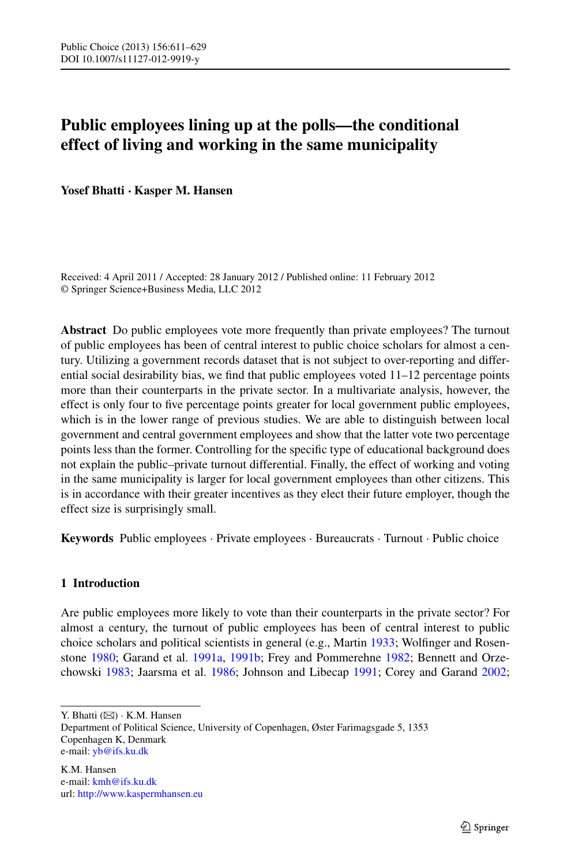# **Public employees lining up at the polls—the conditional effect of living and working in the same municipality**

**Yosef Bhatti · Kasper M. Hansen**

Received: 4 April 2011 / Accepted: 28 January 2012 / Published online: 11 February 2012 © Springer Science+Business Media, LLC 2012

**Abstract** Do public employees vote more frequently than private employees? The turnout of public employees has been of central interest to public choice scholars for almost a century. Utilizing a government records dataset that is not subject to over-reporting and differential social desirability bias, we find that public employees voted 11–12 percentage points more than their counterparts in the private sector. In a multivariate analysis, however, the effect is only four to five percentage points greater for local government public employees, which is in the lower range of previous studies. We are able to distinguish between local government and central government employees and show that the latter vote two percentage points less than the former. Controlling for the specific type of educational background does not explain the public–private turnout differential. Finally, the effect of working and voting in the same municipality is larger for local government employees than other citizens. This is in accordance with their greater incentives as they elect their future employer, though the effect size is surprisingly small.

**Keywords** Public employees · Private employees · Bureaucrats · Turnout · Public choice

## **1 Introduction**

Are public employees more likely to vote than their counterparts in the private sector? For almost a century, the turnout of public employees has been of central interest to public choice scholars and political scientists in general (e.g., Martin [1933](#page-18-0); Wolfinger and Rosenstone [1980;](#page-18-1) Garand et al. [1991a](#page-17-0), [1991b;](#page-17-1) Frey and Pommerehne [1982;](#page-17-2) Bennett and Orzechowski [1983](#page-17-3); Jaarsma et al. [1986](#page-17-4); Johnson and Libecap [1991;](#page-18-2) Corey and Garand [2002;](#page-17-5)

Y. Bhatti ( $\boxtimes$ ) · K.M. Hansen

Department of Political Science, University of Copenhagen, Øster Farimagsgade 5, 1353 Copenhagen K, Denmark e-mail: [yb@ifs.ku.dk](mailto:yb@ifs.ku.dk)

K.M. Hansen e-mail: [kmh@ifs.ku.dk](mailto:kmh@ifs.ku.dk) url: <http://www.kaspermhansen.eu>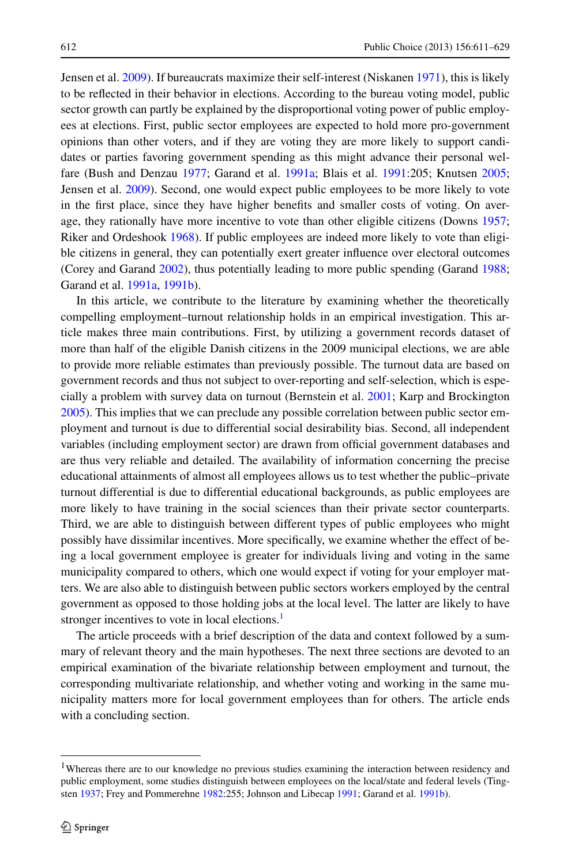Jensen et al. [2009](#page-17-6)). If bureaucrats maximize their self-interest (Niskanen [1971\)](#page-18-3), this is likely to be reflected in their behavior in elections. According to the bureau voting model, public sector growth can partly be explained by the disproportional voting power of public employees at elections. First, public sector employees are expected to hold more pro-government opinions than other voters, and if they are voting they are more likely to support candidates or parties favoring government spending as this might advance their personal welfare (Bush and Denzau [1977](#page-17-7); Garand et al. [1991a](#page-17-0); Blais et al. [1991](#page-17-8):205; Knutsen [2005;](#page-18-4) Jensen et al. [2009\)](#page-17-6). Second, one would expect public employees to be more likely to vote in the first place, since they have higher benefits and smaller costs of voting. On average, they rationally have more incentive to vote than other eligible citizens (Downs [1957;](#page-17-9) Riker and Ordeshook [1968\)](#page-18-5). If public employees are indeed more likely to vote than eligible citizens in general, they can potentially exert greater influence over electoral outcomes (Corey and Garand [2002](#page-17-5)), thus potentially leading to more public spending (Garand [1988;](#page-17-10) Garand et al. [1991a,](#page-17-0) [1991b](#page-17-1)).

In this article, we contribute to the literature by examining whether the theoretically compelling employment–turnout relationship holds in an empirical investigation. This article makes three main contributions. First, by utilizing a government records dataset of more than half of the eligible Danish citizens in the 2009 municipal elections, we are able to provide more reliable estimates than previously possible. The turnout data are based on government records and thus not subject to over-reporting and self-selection, which is especially a problem with survey data on turnout (Bernstein et al. [2001;](#page-17-11) Karp and Brockington [2005\)](#page-18-6). This implies that we can preclude any possible correlation between public sector employment and turnout is due to differential social desirability bias. Second, all independent variables (including employment sector) are drawn from official government databases and are thus very reliable and detailed. The availability of information concerning the precise educational attainments of almost all employees allows us to test whether the public–private turnout differential is due to differential educational backgrounds, as public employees are more likely to have training in the social sciences than their private sector counterparts. Third, we are able to distinguish between different types of public employees who might possibly have dissimilar incentives. More specifically, we examine whether the effect of being a local government employee is greater for individuals living and voting in the same municipality compared to others, which one would expect if voting for your employer matters. We are also able to distinguish between public sectors workers employed by the central government as opposed to those holding jobs at the local level. The latter are likely to have stronger incentives to vote in local elections.<sup>1</sup>

<span id="page-1-0"></span>The article proceeds with a brief description of the data and context followed by a summary of relevant theory and the main hypotheses. The next three sections are devoted to an empirical examination of the bivariate relationship between employment and turnout, the corresponding multivariate relationship, and whether voting and working in the same municipality matters more for local government employees than for others. The article ends with a concluding section.

<sup>&</sup>lt;sup>1</sup>Whereas there are to our knowledge no previous studies examining the interaction between residency and public employment, some studies distinguish between employees on the local/state and federal levels (Tingsten [1937;](#page-18-7) Frey and Pommerehne [1982:](#page-17-2)255; Johnson and Libecap [1991](#page-18-2); Garand et al. [1991b](#page-17-1)).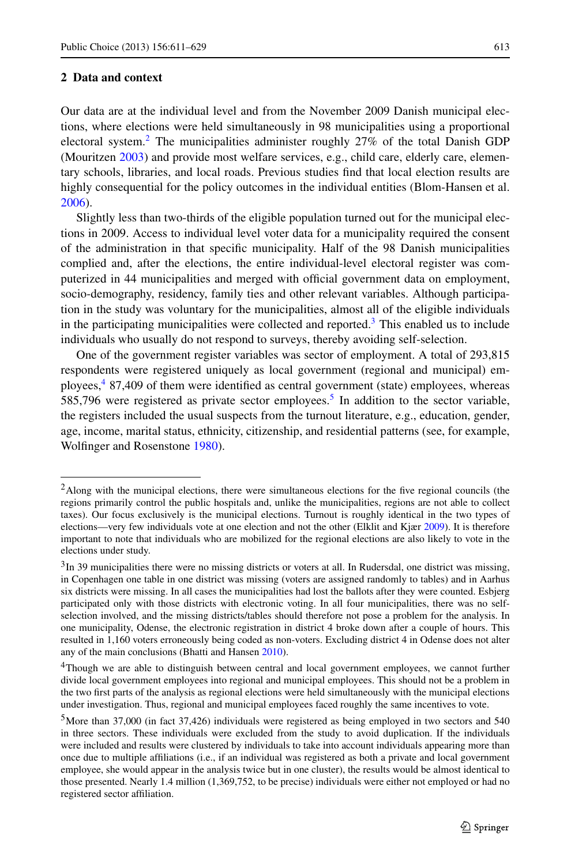Our data are at the individual level and from the November 2009 Danish municipal elections, where elections were held simultaneously in 98 municipalities using a proportional electoral system.<sup>2</sup> The municipalities administer roughly  $27\%$  of the total Danish GDP (Mouritzen [2003\)](#page-18-8) and provide most welfare services, e.g., child care, elderly care, elementary schools, libraries, and local roads. Previous studies find that local election results are highly consequential for the policy outcomes in the individual entities (Blom-Hansen et al. [2006\)](#page-17-12).

Slightly less than two-thirds of the eligible population turned out for the municipal elections in 2009. Access to individual level voter data for a municipality required the consent of the administration in that specific municipality. Half of the 98 Danish municipalities complied and, after the elections, the entire individual-level electoral register was computerized in 44 municipalities and merged with official government data on employment, socio-demography, residency, family ties and other relevant variables. Although participation in the study was voluntary for the municipalities, almost all of the eligible individuals in the participating municipalities were collected and reported.<sup>[3](#page-2-1)</sup> This enabled us to include individuals who usually do not respond to surveys, thereby avoiding self-selection.

<span id="page-2-0"></span>One of the government register variables was sector of employment. A total of 293,815 respondents were registered uniquely as local government (regional and municipal) employees, $487,409$  $487,409$  $487,409$  of them were identified as central government (state) employees, whereas [5](#page-2-3)85,796 were registered as private sector employees.<sup>5</sup> In addition to the sector variable, the registers included the usual suspects from the turnout literature, e.g., education, gender, age, income, marital status, ethnicity, citizenship, and residential patterns (see, for example, Wolfinger and Rosenstone [1980\)](#page-18-1).

<span id="page-2-1"></span> $2$ Along with the municipal elections, there were simultaneous elections for the five regional councils (the regions primarily control the public hospitals and, unlike the municipalities, regions are not able to collect taxes). Our focus exclusively is the municipal elections. Turnout is roughly identical in the two types of elections—very few individuals vote at one election and not the other (Elklit and Kjær [2009](#page-17-13)). It is therefore important to note that individuals who are mobilized for the regional elections are also likely to vote in the elections under study.

<span id="page-2-3"></span><span id="page-2-2"></span><sup>3</sup>In 39 municipalities there were no missing districts or voters at all. In Rudersdal, one district was missing, in Copenhagen one table in one district was missing (voters are assigned randomly to tables) and in Aarhus six districts were missing. In all cases the municipalities had lost the ballots after they were counted. Esbjerg participated only with those districts with electronic voting. In all four municipalities, there was no selfselection involved, and the missing districts/tables should therefore not pose a problem for the analysis. In one municipality, Odense, the electronic registration in district 4 broke down after a couple of hours. This resulted in 1,160 voters erroneously being coded as non-voters. Excluding district 4 in Odense does not alter any of the main conclusions (Bhatti and Hansen [2010\)](#page-17-14).

<sup>&</sup>lt;sup>4</sup>Though we are able to distinguish between central and local government employees, we cannot further divide local government employees into regional and municipal employees. This should not be a problem in the two first parts of the analysis as regional elections were held simultaneously with the municipal elections under investigation. Thus, regional and municipal employees faced roughly the same incentives to vote.

 $5$ More than 37,000 (in fact 37,426) individuals were registered as being employed in two sectors and 540 in three sectors. These individuals were excluded from the study to avoid duplication. If the individuals were included and results were clustered by individuals to take into account individuals appearing more than once due to multiple affiliations (i.e., if an individual was registered as both a private and local government employee, she would appear in the analysis twice but in one cluster), the results would be almost identical to those presented. Nearly 1.4 million (1,369,752, to be precise) individuals were either not employed or had no registered sector affiliation.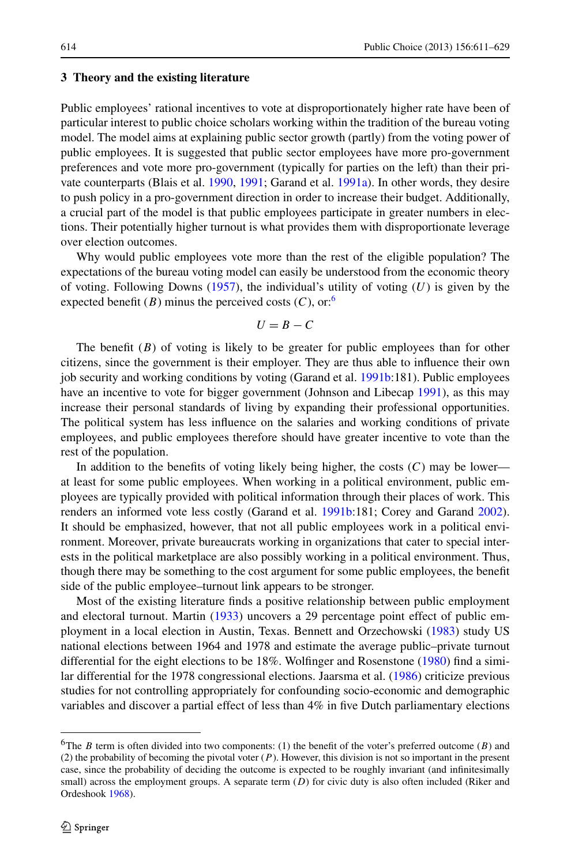### **3 Theory and the existing literature**

Public employees' rational incentives to vote at disproportionately higher rate have been of particular interest to public choice scholars working within the tradition of the bureau voting model. The model aims at explaining public sector growth (partly) from the voting power of public employees. It is suggested that public sector employees have more pro-government preferences and vote more pro-government (typically for parties on the left) than their private counterparts (Blais et al. [1990](#page-17-15), [1991](#page-17-8); Garand et al. [1991a\)](#page-17-0). In other words, they desire to push policy in a pro-government direction in order to increase their budget. Additionally, a crucial part of the model is that public employees participate in greater numbers in elections. Their potentially higher turnout is what provides them with disproportionate leverage over election outcomes.

Why would public employees vote more than the rest of the eligible population? The expectations of the bureau voting model can easily be understood from the economic theory of voting. Following Downs [\(1957](#page-17-9)), the individual's utility of voting (*U*) is given by the expected benefit (*B*) minus the perceived costs (*C*), or:<sup>6</sup>

$$
U = B - C
$$

The benefit  $(B)$  of voting is likely to be greater for public employees than for other citizens, since the government is their employer. They are thus able to influence their own job security and working conditions by voting (Garand et al. [1991b:](#page-17-1)181). Public employees have an incentive to vote for bigger government (Johnson and Libecap [1991](#page-18-2)), as this may increase their personal standards of living by expanding their professional opportunities. The political system has less influence on the salaries and working conditions of private employees, and public employees therefore should have greater incentive to vote than the rest of the population.

In addition to the benefits of voting likely being higher, the costs  $(C)$  may be lower at least for some public employees. When working in a political environment, public employees are typically provided with political information through their places of work. This renders an informed vote less costly (Garand et al. [1991b](#page-17-1):181; Corey and Garand [2002](#page-17-5)). It should be emphasized, however, that not all public employees work in a political environment. Moreover, private bureaucrats working in organizations that cater to special interests in the political marketplace are also possibly working in a political environment. Thus, though there may be something to the cost argument for some public employees, the benefit side of the public employee–turnout link appears to be stronger.

<span id="page-3-0"></span>Most of the existing literature finds a positive relationship between public employment and electoral turnout. Martin ([1933\)](#page-18-0) uncovers a 29 percentage point effect of public employment in a local election in Austin, Texas. Bennett and Orzechowski ([1983\)](#page-17-3) study US national elections between 1964 and 1978 and estimate the average public–private turnout differential for the eight elections to be 18%. Wolfinger and Rosenstone ([1980\)](#page-18-1) find a similar differential for the 1978 congressional elections. Jaarsma et al. ([1986\)](#page-17-4) criticize previous studies for not controlling appropriately for confounding socio-economic and demographic variables and discover a partial effect of less than 4% in five Dutch parliamentary elections

<sup>&</sup>lt;sup>6</sup>The *B* term is often divided into two components: (1) the benefit of the voter's preferred outcome (*B*) and (2) the probability of becoming the pivotal voter (*P* ). However, this division is not so important in the present case, since the probability of deciding the outcome is expected to be roughly invariant (and infinitesimally small) across the employment groups. A separate term (*D*) for civic duty is also often included (Riker and Ordeshook [1968\)](#page-18-5).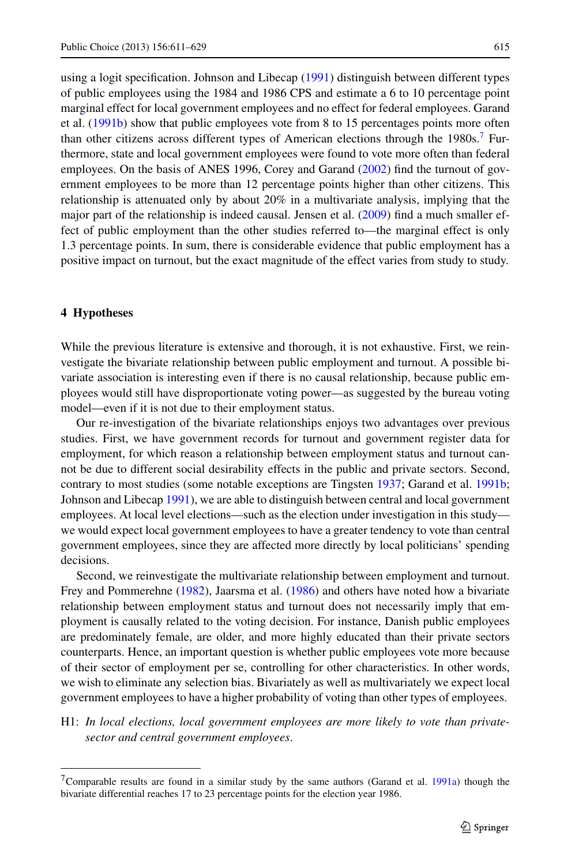using a logit specification. Johnson and Libecap [\(1991\)](#page-18-2) distinguish between different types of public employees using the 1984 and 1986 CPS and estimate a 6 to 10 percentage point marginal effect for local government employees and no effect for federal employees. Garand et al. [\(1991b\)](#page-17-1) show that public employees vote from 8 to 15 percentages points more often than other citizens across different types of American elections through the 1980s.<sup>7</sup> Furthermore, state and local government employees were found to vote more often than federal employees. On the basis of ANES 1996, Corey and Garand ([2002\)](#page-17-5) find the turnout of government employees to be more than 12 percentage points higher than other citizens. This relationship is attenuated only by about 20% in a multivariate analysis, implying that the major part of the relationship is indeed causal. Jensen et al. ([2009\)](#page-17-6) find a much smaller effect of public employment than the other studies referred to—the marginal effect is only 1.3 percentage points. In sum, there is considerable evidence that public employment has a positive impact on turnout, but the exact magnitude of the effect varies from study to study.

## **4 Hypotheses**

While the previous literature is extensive and thorough, it is not exhaustive. First, we reinvestigate the bivariate relationship between public employment and turnout. A possible bivariate association is interesting even if there is no causal relationship, because public employees would still have disproportionate voting power—as suggested by the bureau voting model—even if it is not due to their employment status.

Our re-investigation of the bivariate relationships enjoys two advantages over previous studies. First, we have government records for turnout and government register data for employment, for which reason a relationship between employment status and turnout cannot be due to different social desirability effects in the public and private sectors. Second, contrary to most studies (some notable exceptions are Tingsten [1937](#page-18-7); Garand et al. [1991b;](#page-17-1) Johnson and Libecap [1991\)](#page-18-2), we are able to distinguish between central and local government employees. At local level elections—such as the election under investigation in this study we would expect local government employees to have a greater tendency to vote than central government employees, since they are affected more directly by local politicians' spending decisions.

Second, we reinvestigate the multivariate relationship between employment and turnout. Frey and Pommerehne ([1982\)](#page-17-2), Jaarsma et al. ([1986](#page-17-4)) and others have noted how a bivariate relationship between employment status and turnout does not necessarily imply that employment is causally related to the voting decision. For instance, Danish public employees are predominately female, are older, and more highly educated than their private sectors counterparts. Hence, an important question is whether public employees vote more because of their sector of employment per se, controlling for other characteristics. In other words, we wish to eliminate any selection bias. Bivariately as well as multivariately we expect local government employees to have a higher probability of voting than other types of employees.

<span id="page-4-0"></span>H1: *In local elections, local government employees are more likely to vote than privatesector and central government employees*.

<sup>&</sup>lt;sup>7</sup>Comparable results are found in a similar study by the same authors (Garand et al. [1991a\)](#page-17-0) though the bivariate differential reaches 17 to 23 percentage points for the election year 1986.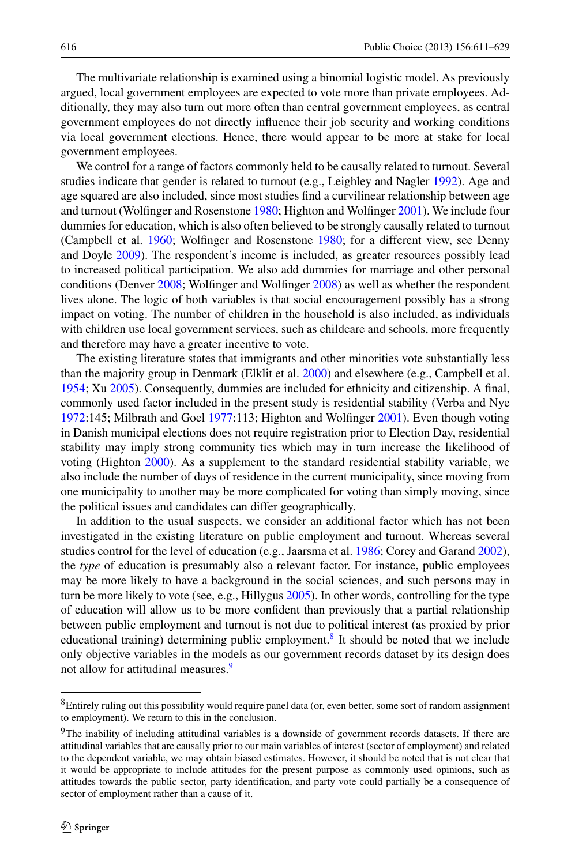The multivariate relationship is examined using a binomial logistic model. As previously argued, local government employees are expected to vote more than private employees. Additionally, they may also turn out more often than central government employees, as central government employees do not directly influence their job security and working conditions via local government elections. Hence, there would appear to be more at stake for local government employees.

We control for a range of factors commonly held to be causally related to turnout. Several studies indicate that gender is related to turnout (e.g., Leighley and Nagler [1992](#page-18-9)). Age and age squared are also included, since most studies find a curvilinear relationship between age and turnout (Wolfinger and Rosenstone [1980](#page-18-1); Highton and Wolfinger [2001](#page-17-16)). We include four dummies for education, which is also often believed to be strongly causally related to turnout (Campbell et al. [1960;](#page-17-17) Wolfinger and Rosenstone [1980;](#page-18-1) for a different view, see Denny and Doyle [2009](#page-17-18)). The respondent's income is included, as greater resources possibly lead to increased political participation. We also add dummies for marriage and other personal conditions (Denver [2008](#page-17-19); Wolfinger and Wolfinger [2008\)](#page-18-10) as well as whether the respondent lives alone. The logic of both variables is that social encouragement possibly has a strong impact on voting. The number of children in the household is also included, as individuals with children use local government services, such as childcare and schools, more frequently and therefore may have a greater incentive to vote.

The existing literature states that immigrants and other minorities vote substantially less than the majority group in Denmark (Elklit et al. [2000\)](#page-17-20) and elsewhere (e.g., Campbell et al. [1954;](#page-17-21) Xu [2005\)](#page-18-11). Consequently, dummies are included for ethnicity and citizenship. A final, commonly used factor included in the present study is residential stability (Verba and Nye [1972:](#page-18-12)145; Milbrath and Goel [1977](#page-18-13):113; Highton and Wolfinger [2001\)](#page-17-16). Even though voting in Danish municipal elections does not require registration prior to Election Day, residential stability may imply strong community ties which may in turn increase the likelihood of voting (Highton [2000\)](#page-17-22). As a supplement to the standard residential stability variable, we also include the number of days of residence in the current municipality, since moving from one municipality to another may be more complicated for voting than simply moving, since the political issues and candidates can differ geographically.

<span id="page-5-0"></span>In addition to the usual suspects, we consider an additional factor which has not been investigated in the existing literature on public employment and turnout. Whereas several studies control for the level of education (e.g., Jaarsma et al. [1986;](#page-17-4) Corey and Garand [2002](#page-17-5)), the *type* of education is presumably also a relevant factor. For instance, public employees may be more likely to have a background in the social sciences, and such persons may in turn be more likely to vote (see, e.g., Hillygus [2005](#page-17-23)). In other words, controlling for the type of education will allow us to be more confident than previously that a partial relationship between public employment and turnout is not due to political interest (as proxied by prior educational training) determining public employment.<sup>[8](#page-5-0)</sup> It should be noted that we include only objective variables in the models as our government records dataset by its design does not allow for attitudinal measures.<sup>9</sup>

<span id="page-5-1"></span><sup>&</sup>lt;sup>8</sup>Entirely ruling out this possibility would require panel data (or, even better, some sort of random assignment to employment). We return to this in the conclusion.

<sup>&</sup>lt;sup>9</sup>The inability of including attitudinal variables is a downside of government records datasets. If there are attitudinal variables that are causally prior to our main variables of interest (sector of employment) and related to the dependent variable, we may obtain biased estimates. However, it should be noted that is not clear that it would be appropriate to include attitudes for the present purpose as commonly used opinions, such as attitudes towards the public sector, party identification, and party vote could partially be a consequence of sector of employment rather than a cause of it.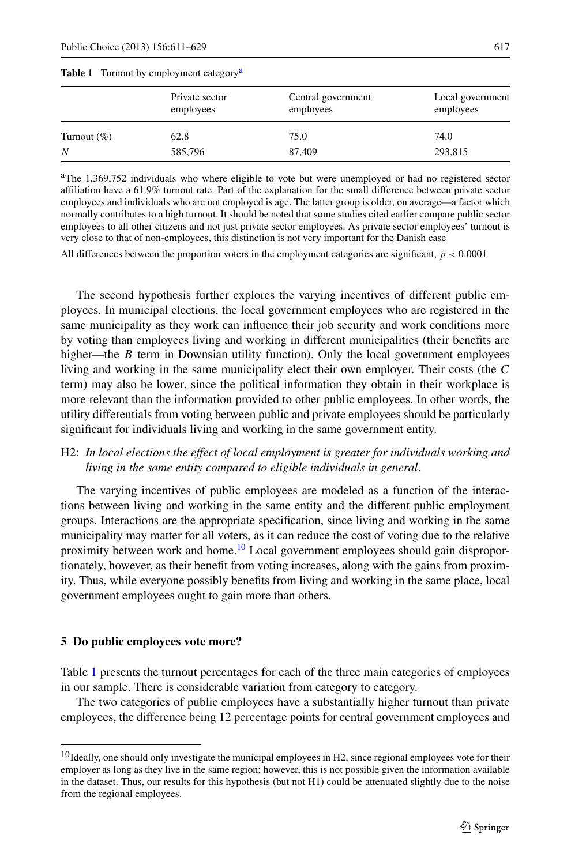|                | Private sector<br>employees | Central government<br>employees | Local government<br>employees |
|----------------|-----------------------------|---------------------------------|-------------------------------|
| Turnout $(\%)$ | 62.8                        | 75.0                            | 74.0                          |
| N              | 585,796                     | 87,409                          | 293,815                       |

<span id="page-6-2"></span><span id="page-6-0"></span>**T[a](#page-6-0)ble 1** Turnout by employment category<sup>a</sup>

aThe 1,369,752 individuals who where eligible to vote but were unemployed or had no registered sector affiliation have a 61.9% turnout rate. Part of the explanation for the small difference between private sector employees and individuals who are not employed is age. The latter group is older, on average—a factor which normally contributes to a high turnout. It should be noted that some studies cited earlier compare public sector employees to all other citizens and not just private sector employees. As private sector employees' turnout is very close to that of non-employees, this distinction is not very important for the Danish case

All differences between the proportion voters in the employment categories are significant, *p <* 0*.*0001

The second hypothesis further explores the varying incentives of different public employees. In municipal elections, the local government employees who are registered in the same municipality as they work can influence their job security and work conditions more by voting than employees living and working in different municipalities (their benefits are higher—the *B* term in Downsian utility function). Only the local government employees living and working in the same municipality elect their own employer. Their costs (the *C* term) may also be lower, since the political information they obtain in their workplace is more relevant than the information provided to other public employees. In other words, the utility differentials from voting between public and private employees should be particularly significant for individuals living and working in the same government entity.

# H2: *In local elections the effect of local employment is greater for individuals working and living in the same entity compared to eligible individuals in general*.

The varying incentives of public employees are modeled as a function of the interactions between living and working in the same entity and the different public employment groups. Interactions are the appropriate specification, since living and working in the same municipality may matter for all voters, as it can reduce the cost of voting due to the relative proximity between work and home.<sup>[10](#page-6-1)</sup> Local government employees should gain disproportionately, however, as their benefit from voting increases, along with the gains from proximity. Thus, while everyone possibly benefits from living and working in the same place, local government employees ought to gain more than others.

## <span id="page-6-1"></span>**5 Do public employees vote more?**

Table [1](#page-6-2) presents the turnout percentages for each of the three main categories of employees in our sample. There is considerable variation from category to category.

The two categories of public employees have a substantially higher turnout than private employees, the difference being 12 percentage points for central government employees and

<sup>&</sup>lt;sup>10</sup>Ideally, one should only investigate the municipal employees in H2, since regional employees vote for their employer as long as they live in the same region; however, this is not possible given the information available in the dataset. Thus, our results for this hypothesis (but not H1) could be attenuated slightly due to the noise from the regional employees.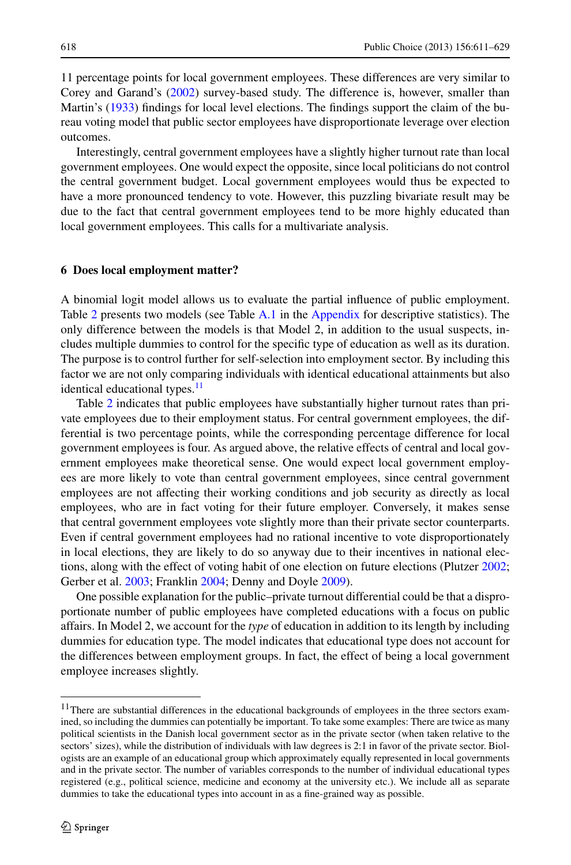11 percentage points for local government employees. These differences are very similar to Corey and Garand's [\(2002](#page-17-5)) survey-based study. The difference is, however, smaller than Martin's ([1933\)](#page-18-0) findings for local level elections. The findings support the claim of the bureau voting model that public sector employees have disproportionate leverage over election outcomes.

Interestingly, central government employees have a slightly higher turnout rate than local government employees. One would expect the opposite, since local politicians do not control the central government budget. Local government employees would thus be expected to have a more pronounced tendency to vote. However, this puzzling bivariate result may be due to the fact that central government employees tend to be more highly educated than local government employees. This calls for a multivariate analysis.

#### **6 Does local employment matter?**

A binomial logit model allows us to evaluate the partial influence of public employment. Table [2](#page-8-0) presents two models (see Table [A.1](#page-13-0) in the [Appendix](#page-13-1) for descriptive statistics). The only difference between the models is that Model 2, in addition to the usual suspects, includes multiple dummies to control for the specific type of education as well as its duration. The purpose is to control further for self-selection into employment sector. By including this factor we are not only comparing individuals with identical educational attainments but also identical educational types.<sup>11</sup>

Table [2](#page-8-0) indicates that public employees have substantially higher turnout rates than private employees due to their employment status. For central government employees, the differential is two percentage points, while the corresponding percentage difference for local government employees is four. As argued above, the relative effects of central and local government employees make theoretical sense. One would expect local government employees are more likely to vote than central government employees, since central government employees are not affecting their working conditions and job security as directly as local employees, who are in fact voting for their future employer. Conversely, it makes sense that central government employees vote slightly more than their private sector counterparts. Even if central government employees had no rational incentive to vote disproportionately in local elections, they are likely to do so anyway due to their incentives in national elections, along with the effect of voting habit of one election on future elections (Plutzer [2002;](#page-18-14) Gerber et al. [2003](#page-17-24); Franklin [2004;](#page-17-25) Denny and Doyle [2009](#page-17-18)).

<span id="page-7-0"></span>One possible explanation for the public–private turnout differential could be that a disproportionate number of public employees have completed educations with a focus on public affairs. In Model 2, we account for the *type* of education in addition to its length by including dummies for education type. The model indicates that educational type does not account for the differences between employment groups. In fact, the effect of being a local government employee increases slightly.

<sup>&</sup>lt;sup>11</sup>There are substantial differences in the educational backgrounds of employees in the three sectors examined, so including the dummies can potentially be important. To take some examples: There are twice as many political scientists in the Danish local government sector as in the private sector (when taken relative to the sectors' sizes), while the distribution of individuals with law degrees is 2:1 in favor of the private sector. Biologists are an example of an educational group which approximately equally represented in local governments and in the private sector. The number of variables corresponds to the number of individual educational types registered (e.g., political science, medicine and economy at the university etc.). We include all as separate dummies to take the educational types into account in as a fine-grained way as possible.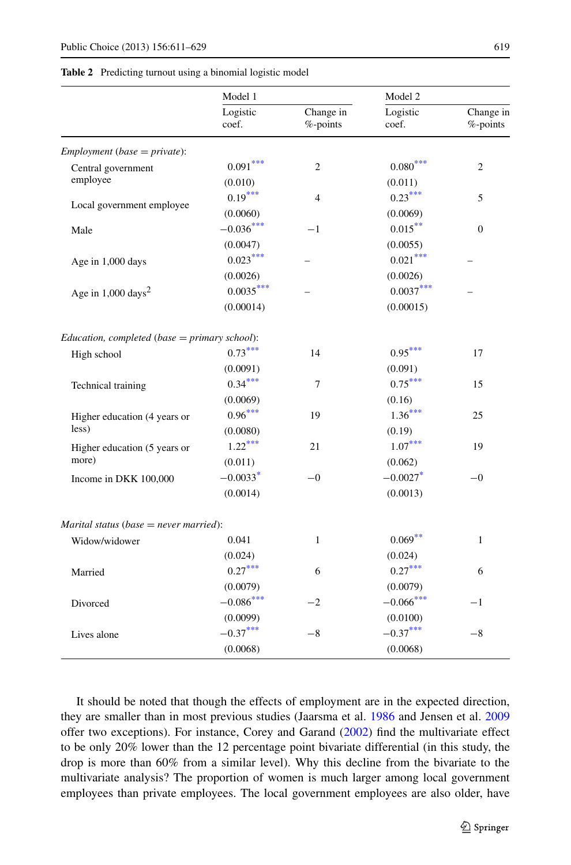<span id="page-8-0"></span>**Table 2** Predicting turnout using a binomial logistic model

|                                                 | Model 1           |                       | Model 2           |                       |
|-------------------------------------------------|-------------------|-----------------------|-------------------|-----------------------|
|                                                 | Logistic<br>coef. | Change in<br>%-points | Logistic<br>coef. | Change in<br>%-points |
| $Employment$ (base = private):                  |                   |                       |                   |                       |
| Central government                              | $0.091***$        | $\overline{2}$        | $0.080***$        | $\overline{c}$        |
| employee                                        | (0.010)           |                       | (0.011)           |                       |
|                                                 | $0.19***$         | $\overline{4}$        | $0.23***$         | 5                     |
| Local government employee                       | (0.0060)          |                       | (0.0069)          |                       |
| Male                                            | $-0.036$ ***      | $-1$                  | $0.015***$        | $\mathbf{0}$          |
|                                                 | (0.0047)          |                       | (0.0055)          |                       |
| Age in 1,000 days                               | $0.023***$        |                       | $0.021***$        |                       |
|                                                 | (0.0026)          |                       | (0.0026)          |                       |
| Age in $1,000 \text{ days}^2$                   | $0.0035***$       |                       | $0.0037***$       |                       |
|                                                 | (0.00014)         |                       | (0.00015)         |                       |
| Education, completed (base $=$ primary school): |                   |                       |                   |                       |
| High school                                     | $0.73***$         | 14                    | $0.95***$         | 17                    |
|                                                 | (0.0091)          |                       | (0.091)           |                       |
| Technical training                              | $0.34***$         | $\overline{7}$        | $0.75***$         | 15                    |
|                                                 | (0.0069)          |                       | (0.16)            |                       |
| Higher education (4 years or                    | $0.96***$         | 19                    | $1.36***$         | 25                    |
| less)                                           | (0.0080)          |                       | (0.19)            |                       |
| Higher education (5 years or                    | $1.22***$         | 21                    | $1.07***$         | 19                    |
| more)                                           | (0.011)           |                       | (0.062)           |                       |
| Income in DKK 100,000                           | $-0.0033$ *       | $-0$                  | $-0.0027$ *       | $-0$                  |
|                                                 | (0.0014)          |                       | (0.0013)          |                       |
| Marital status (base $=$ never married):        |                   |                       |                   |                       |
| Widow/widower                                   | 0.041             | $\mathbf{1}$          | $0.069***$        | 1                     |
|                                                 | (0.024)           |                       | (0.024)           |                       |
| Married                                         | $0.27***$         | 6                     | $0.27***$         | 6                     |
|                                                 | (0.0079)          |                       | (0.0079)          |                       |
| Divorced                                        | $-0.086$ ***      | $-2$                  | $-0.066$ ***      | $-1$                  |
|                                                 | (0.0099)          |                       | (0.0100)          |                       |
| Lives alone                                     | $-0.37***$        | $-8$                  | $-0.37***$        | $-8$                  |
|                                                 | (0.0068)          |                       | (0.0068)          |                       |

It should be noted that though the effects of employment are in the expected direction, they are smaller than in most previous studies (Jaarsma et al. [1986](#page-17-4) and Jensen et al. [2009](#page-17-6) offer two exceptions). For instance, Corey and Garand ([2002\)](#page-17-5) find the multivariate effect to be only 20% lower than the 12 percentage point bivariate differential (in this study, the drop is more than 60% from a similar level). Why this decline from the bivariate to the multivariate analysis? The proportion of women is much larger among local government employees than private employees. The local government employees are also older, have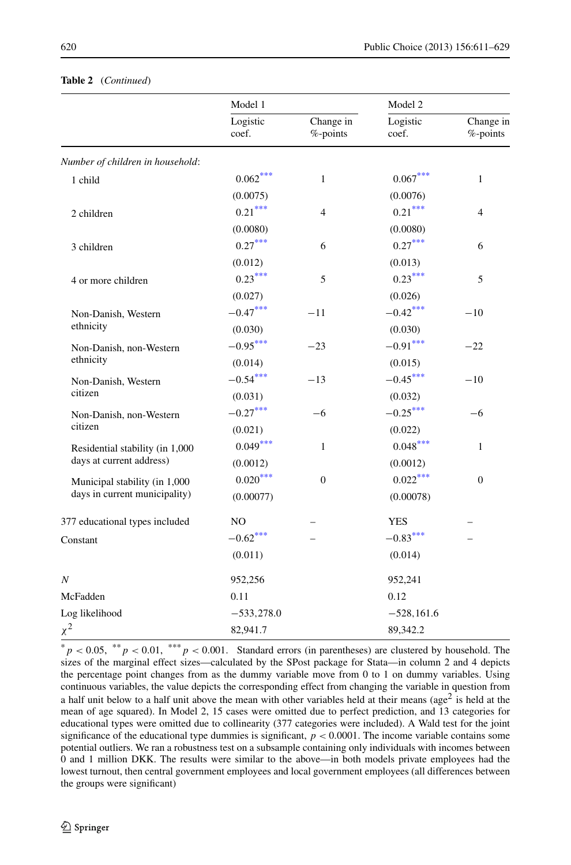|                                  | Model 1           |                       | Model 2           |                       |
|----------------------------------|-------------------|-----------------------|-------------------|-----------------------|
|                                  | Logistic<br>coef. | Change in<br>%-points | Logistic<br>coef. | Change in<br>%-points |
| Number of children in household: |                   |                       |                   |                       |
| 1 child                          | $0.062***$        | $\mathbf{1}$          | $0.067***$        | $\mathbf{1}$          |
|                                  | (0.0075)          |                       | (0.0076)          |                       |
| 2 children                       | $0.21***$         | $\overline{4}$        | $0.21***$         | 4                     |
|                                  | (0.0080)          |                       | (0.0080)          |                       |
| 3 children                       | $0.27***$         | 6                     | $0.27***$         | 6                     |
|                                  | (0.012)           |                       | (0.013)           |                       |
| 4 or more children               | $0.23***$         | 5                     | $0.23***$         | 5                     |
|                                  | (0.027)           |                       | (0.026)           |                       |
| Non-Danish, Western              | $-0.47***$        | $-11$                 | $-0.42$ ***       | $-10$                 |
| ethnicity                        | (0.030)           |                       | (0.030)           |                       |
| Non-Danish, non-Western          | $-0.95***$        | $-23$                 | $-0.91***$        | $-22$                 |
| ethnicity                        | (0.014)           |                       | (0.015)           |                       |
| Non-Danish, Western              | $-0.54***$        | $-13$                 | $-0.45***$        | $-10$                 |
| citizen                          | (0.031)           |                       | (0.032)           |                       |
| Non-Danish, non-Western          | $-0.27***$        | $-6$                  | $-0.25***$        | $-6$                  |
| citizen                          | (0.021)           |                       | (0.022)           |                       |
| Residential stability (in 1,000  | $0.049***$        | $\mathbf{1}$          | $0.048***$        | $\mathbf{1}$          |
| days at current address)         | (0.0012)          |                       | (0.0012)          |                       |
| Municipal stability (in 1,000    | $0.020***$        | $\overline{0}$        | $0.022***$        | $\overline{0}$        |
| days in current municipality)    | (0.00077)         |                       | (0.00078)         |                       |
| 377 educational types included   | NO                |                       | YES               |                       |
| Constant                         | $-0.62$ ***       |                       | $-0.83***$        |                       |
|                                  | (0.011)           |                       | (0.014)           |                       |
| Ν                                | 952,256           |                       | 952,241           |                       |
| McFadden                         | 0.11              |                       | 0.12              |                       |
| Log likelihood                   | $-533,278.0$      |                       | $-528, 161.6$     |                       |
| $\chi^2$                         | 82,941.7          |                       | 89,342.2          |                       |

## **Table 2** (*Continued*)

<span id="page-9-2"></span><span id="page-9-1"></span><span id="page-9-0"></span> $p < 0.05$ , \*\**p* < 0.01, \*\*\**p* < 0.001. Standard errors (in parentheses) are clustered by household. The sizes of the marginal effect sizes—calculated by the SPost package for Stata—in column 2 and 4 depicts the percentage point changes from as the dummy variable move from 0 to 1 on dummy variables. Using continuous variables, the value depicts the corresponding effect from changing the variable in question from a half unit below to a half unit above the mean with other variables held at their means (age<sup>2</sup> is held at the mean of age squared). In Model 2, 15 cases were omitted due to perfect prediction, and 13 categories for educational types were omitted due to collinearity (377 categories were included). A Wald test for the joint significance of the educational type dummies is significant,  $p < 0.0001$ . The income variable contains some potential outliers. We ran a robustness test on a subsample containing only individuals with incomes between 0 and 1 million DKK. The results were similar to the above—in both models private employees had the lowest turnout, then central government employees and local government employees (all differences between the groups were significant)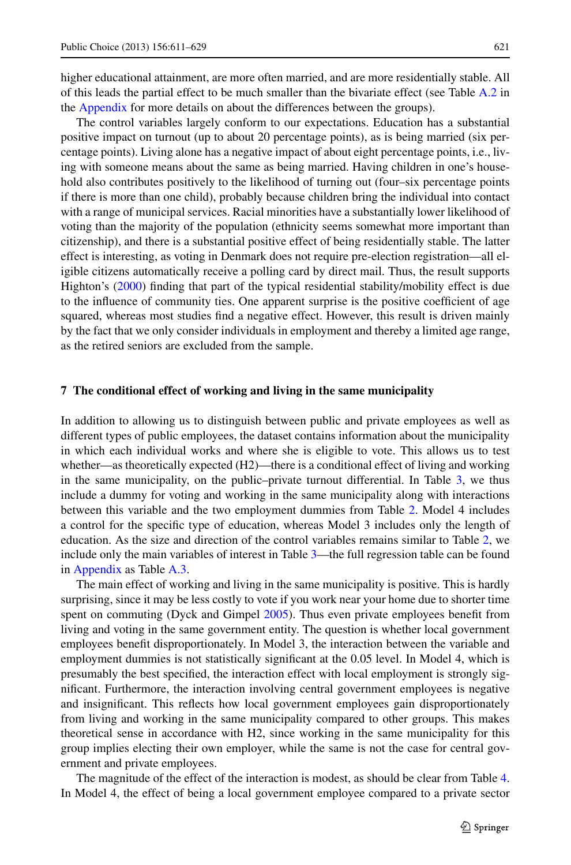higher educational attainment, are more often married, and are more residentially stable. All of this leads the partial effect to be much smaller than the bivariate effect (see Table [A.2](#page-14-0) in the [Appendix](#page-13-1) for more details on about the differences between the groups).

The control variables largely conform to our expectations. Education has a substantial positive impact on turnout (up to about 20 percentage points), as is being married (six percentage points). Living alone has a negative impact of about eight percentage points, i.e., living with someone means about the same as being married. Having children in one's household also contributes positively to the likelihood of turning out (four–six percentage points if there is more than one child), probably because children bring the individual into contact with a range of municipal services. Racial minorities have a substantially lower likelihood of voting than the majority of the population (ethnicity seems somewhat more important than citizenship), and there is a substantial positive effect of being residentially stable. The latter effect is interesting, as voting in Denmark does not require pre-election registration—all eligible citizens automatically receive a polling card by direct mail. Thus, the result supports Highton's [\(2000](#page-17-22)) finding that part of the typical residential stability/mobility effect is due to the influence of community ties. One apparent surprise is the positive coefficient of age squared, whereas most studies find a negative effect. However, this result is driven mainly by the fact that we only consider individuals in employment and thereby a limited age range, as the retired seniors are excluded from the sample.

#### **7 The conditional effect of working and living in the same municipality**

In addition to allowing us to distinguish between public and private employees as well as different types of public employees, the dataset contains information about the municipality in which each individual works and where she is eligible to vote. This allows us to test whether—as theoretically expected (H2)—there is a conditional effect of living and working in the same municipality, on the public–private turnout differential. In Table [3,](#page-11-0) we thus include a dummy for voting and working in the same municipality along with interactions between this variable and the two employment dummies from Table [2.](#page-8-0) Model 4 includes a control for the specific type of education, whereas Model 3 includes only the length of education. As the size and direction of the control variables remains similar to Table [2](#page-8-0), we include only the main variables of interest in Table [3](#page-11-0)—the full regression table can be found in [Appendix](#page-13-1) as Table [A.3.](#page-15-0)

The main effect of working and living in the same municipality is positive. This is hardly surprising, since it may be less costly to vote if you work near your home due to shorter time spent on commuting (Dyck and Gimpel [2005](#page-17-26)). Thus even private employees benefit from living and voting in the same government entity. The question is whether local government employees benefit disproportionately. In Model 3, the interaction between the variable and employment dummies is not statistically significant at the 0.05 level. In Model 4, which is presumably the best specified, the interaction effect with local employment is strongly significant. Furthermore, the interaction involving central government employees is negative and insignificant. This reflects how local government employees gain disproportionately from living and working in the same municipality compared to other groups. This makes theoretical sense in accordance with H2, since working in the same municipality for this group implies electing their own employer, while the same is not the case for central government and private employees.

The magnitude of the effect of the interaction is modest, as should be clear from Table [4](#page-11-1). In Model 4, the effect of being a local government employee compared to a private sector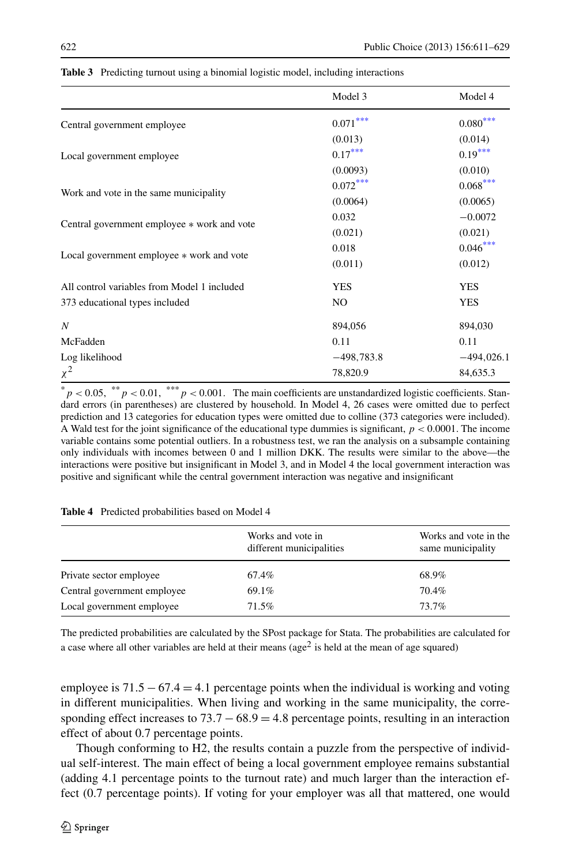|                                             | Model 3         | Model 4      |
|---------------------------------------------|-----------------|--------------|
| Central government employee                 | $0.071^{***}\,$ | $0.080***$   |
|                                             | (0.013)         | (0.014)      |
| Local government employee                   | $0.17***$       | $0.19***$    |
|                                             | (0.0093)        | (0.010)      |
|                                             | $0.072***$      | $0.068***$   |
| Work and vote in the same municipality      | (0.0064)        | (0.0065)     |
|                                             | 0.032           | $-0.0072$    |
| Central government employee * work and vote | (0.021)         | (0.021)      |
| Local government employee * work and vote   | 0.018           | $0.046***$   |
|                                             | (0.011)         | (0.012)      |
| All control variables from Model 1 included | <b>YES</b>      | <b>YES</b>   |
| 373 educational types included              | NO.             | <b>YES</b>   |
| N                                           | 894,056         | 894,030      |
| McFadden                                    | 0.11            | 0.11         |
| Log likelihood                              | $-498,783.8$    | $-494,026.1$ |
| $x^2$                                       | 78,820.9        | 84,635.3     |

<span id="page-11-0"></span>**Table 3** Predicting turnout using a binomial logistic model, including interactions

<span id="page-11-2"></span><span id="page-11-1"></span> $*$   $p$  < 0.05, \*\*  $p$  < 0.01, \*\*\*  $p$  < 0.001. The main coefficients are unstandardized logistic coefficients. Standard errors (in parentheses) are clustered by household. In Model 4, 26 cases were omitted due to perfect prediction and 13 categories for education types were omitted due to colline (373 categories were included). A Wald test for the joint significance of the educational type dummies is significant, *p <* 0*.*0001. The income variable contains some potential outliers. In a robustness test, we ran the analysis on a subsample containing only individuals with incomes between 0 and 1 million DKK. The results were similar to the above—the interactions were positive but insignificant in Model 3, and in Model 4 the local government interaction was positive and significant while the central government interaction was negative and insignificant

#### **Table 4** Predicted probabilities based on Model 4

|                             | Works and vote in<br>different municipalities | Works and vote in the<br>same municipality |
|-----------------------------|-----------------------------------------------|--------------------------------------------|
| Private sector employee     | 67.4%                                         | 68.9%                                      |
| Central government employee | 69.1%                                         | 70.4%                                      |
| Local government employee   | 71.5%                                         | 73.7%                                      |

The predicted probabilities are calculated by the SPost package for Stata. The probabilities are calculated for a case where all other variables are held at their means (age<sup>2</sup> is held at the mean of age squared)

employee is  $71.5 - 67.4 = 4.1$  percentage points when the individual is working and voting in different municipalities. When living and working in the same municipality, the corresponding effect increases to 73*.*7 − 68*.*9 = 4*.*8 percentage points, resulting in an interaction effect of about 0.7 percentage points.

Though conforming to H2, the results contain a puzzle from the perspective of individual self-interest. The main effect of being a local government employee remains substantial (adding 4.1 percentage points to the turnout rate) and much larger than the interaction effect (0.7 percentage points). If voting for your employer was all that mattered, one would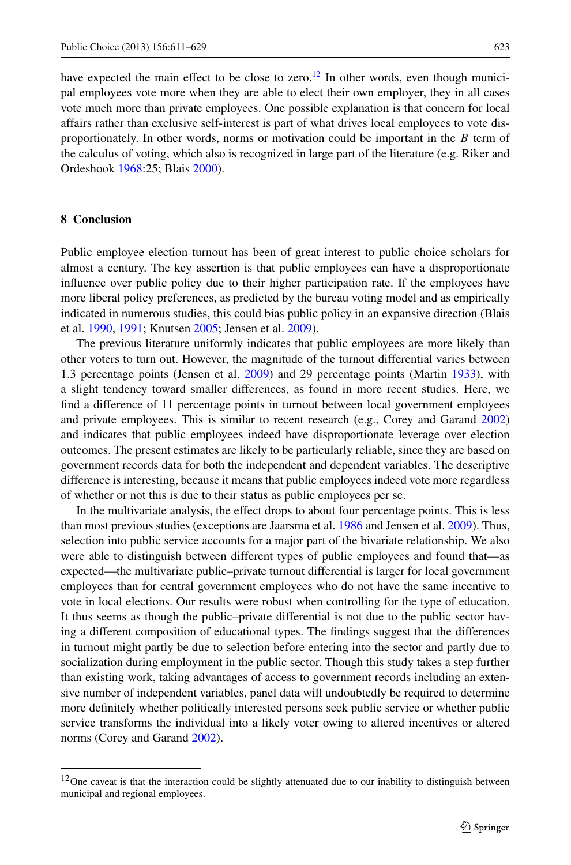have expected the main effect to be close to zero.<sup>12</sup> In other words, even though municipal employees vote more when they are able to elect their own employer, they in all cases vote much more than private employees. One possible explanation is that concern for local affairs rather than exclusive self-interest is part of what drives local employees to vote disproportionately. In other words, norms or motivation could be important in the *B* term of the calculus of voting, which also is recognized in large part of the literature (e.g. Riker and Ordeshook [1968:](#page-18-5)25; Blais [2000\)](#page-17-27).

## **8 Conclusion**

Public employee election turnout has been of great interest to public choice scholars for almost a century. The key assertion is that public employees can have a disproportionate influence over public policy due to their higher participation rate. If the employees have more liberal policy preferences, as predicted by the bureau voting model and as empirically indicated in numerous studies, this could bias public policy in an expansive direction (Blais et al. [1990,](#page-17-15) [1991](#page-17-8); Knutsen [2005](#page-18-4); Jensen et al. [2009](#page-17-6)).

The previous literature uniformly indicates that public employees are more likely than other voters to turn out. However, the magnitude of the turnout differential varies between 1.3 percentage points (Jensen et al. [2009](#page-17-6)) and 29 percentage points (Martin [1933\)](#page-18-0), with a slight tendency toward smaller differences, as found in more recent studies. Here, we find a difference of 11 percentage points in turnout between local government employees and private employees. This is similar to recent research (e.g., Corey and Garand [2002](#page-17-5)) and indicates that public employees indeed have disproportionate leverage over election outcomes. The present estimates are likely to be particularly reliable, since they are based on government records data for both the independent and dependent variables. The descriptive difference is interesting, because it means that public employees indeed vote more regardless of whether or not this is due to their status as public employees per se.

In the multivariate analysis, the effect drops to about four percentage points. This is less than most previous studies (exceptions are Jaarsma et al. [1986](#page-17-4) and Jensen et al. [2009\)](#page-17-6). Thus, selection into public service accounts for a major part of the bivariate relationship. We also were able to distinguish between different types of public employees and found that—as expected—the multivariate public–private turnout differential is larger for local government employees than for central government employees who do not have the same incentive to vote in local elections. Our results were robust when controlling for the type of education. It thus seems as though the public–private differential is not due to the public sector having a different composition of educational types. The findings suggest that the differences in turnout might partly be due to selection before entering into the sector and partly due to socialization during employment in the public sector. Though this study takes a step further than existing work, taking advantages of access to government records including an extensive number of independent variables, panel data will undoubtedly be required to determine more definitely whether politically interested persons seek public service or whether public service transforms the individual into a likely voter owing to altered incentives or altered norms (Corey and Garand [2002\)](#page-17-5).

<span id="page-12-0"></span><sup>&</sup>lt;sup>12</sup>One caveat is that the interaction could be slightly attenuated due to our inability to distinguish between municipal and regional employees.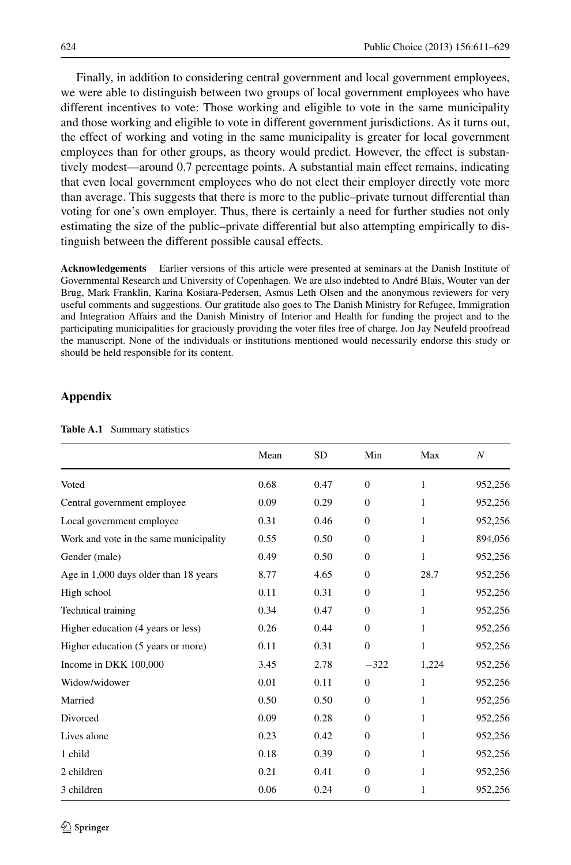Finally, in addition to considering central government and local government employees, we were able to distinguish between two groups of local government employees who have different incentives to vote: Those working and eligible to vote in the same municipality and those working and eligible to vote in different government jurisdictions. As it turns out, the effect of working and voting in the same municipality is greater for local government employees than for other groups, as theory would predict. However, the effect is substantively modest—around 0.7 percentage points. A substantial main effect remains, indicating that even local government employees who do not elect their employer directly vote more than average. This suggests that there is more to the public–private turnout differential than voting for one's own employer. Thus, there is certainly a need for further studies not only estimating the size of the public–private differential but also attempting empirically to distinguish between the different possible causal effects.

<span id="page-13-1"></span><span id="page-13-0"></span>**Acknowledgements** Earlier versions of this article were presented at seminars at the Danish Institute of Governmental Research and University of Copenhagen. We are also indebted to André Blais, Wouter van der Brug, Mark Franklin, Karina Kosiara-Pedersen, Asmus Leth Olsen and the anonymous reviewers for very useful comments and suggestions. Our gratitude also goes to The Danish Ministry for Refugee, Immigration and Integration Affairs and the Danish Ministry of Interior and Health for funding the project and to the participating municipalities for graciously providing the voter files free of charge. Jon Jay Neufeld proofread the manuscript. None of the individuals or institutions mentioned would necessarily endorse this study or should be held responsible for its content.

## **Appendix**

|                                        | Mean | <b>SD</b> | Min            | Max   | $\boldsymbol{N}$ |
|----------------------------------------|------|-----------|----------------|-------|------------------|
| Voted                                  | 0.68 | 0.47      | $\Omega$       | 1     | 952,256          |
| Central government employee            | 0.09 | 0.29      | $\theta$       | 1     | 952,256          |
| Local government employee              | 0.31 | 0.46      | $\theta$       | 1     | 952,256          |
| Work and vote in the same municipality | 0.55 | 0.50      | $\theta$       | 1     | 894,056          |
| Gender (male)                          | 0.49 | 0.50      | $\theta$       | 1     | 952,256          |
| Age in 1,000 days older than 18 years  | 8.77 | 4.65      | $\theta$       | 28.7  | 952,256          |
| High school                            | 0.11 | 0.31      | $\mathbf{0}$   | 1     | 952,256          |
| Technical training                     | 0.34 | 0.47      | $\mathbf{0}$   | 1     | 952,256          |
| Higher education (4 years or less)     | 0.26 | 0.44      | $\mathbf{0}$   | 1     | 952,256          |
| Higher education (5 years or more)     | 0.11 | 0.31      | $\Omega$       | 1     | 952,256          |
| Income in DKK 100,000                  | 3.45 | 2.78      | $-322$         | 1,224 | 952,256          |
| Widow/widower                          | 0.01 | 0.11      | $\mathbf{0}$   | 1     | 952,256          |
| Married                                | 0.50 | 0.50      | $\mathbf{0}$   | 1     | 952,256          |
| Divorced                               | 0.09 | 0.28      | $\mathbf{0}$   | 1     | 952,256          |
| Lives alone                            | 0.23 | 0.42      | $\Omega$       | 1     | 952,256          |
| 1 child                                | 0.18 | 0.39      | $\Omega$       | 1     | 952,256          |
| 2 children                             | 0.21 | 0.41      | $\mathbf{0}$   | 1     | 952,256          |
| 3 children                             | 0.06 | 0.24      | $\overline{0}$ | 1     | 952,256          |

**Table A.1** Summary statistics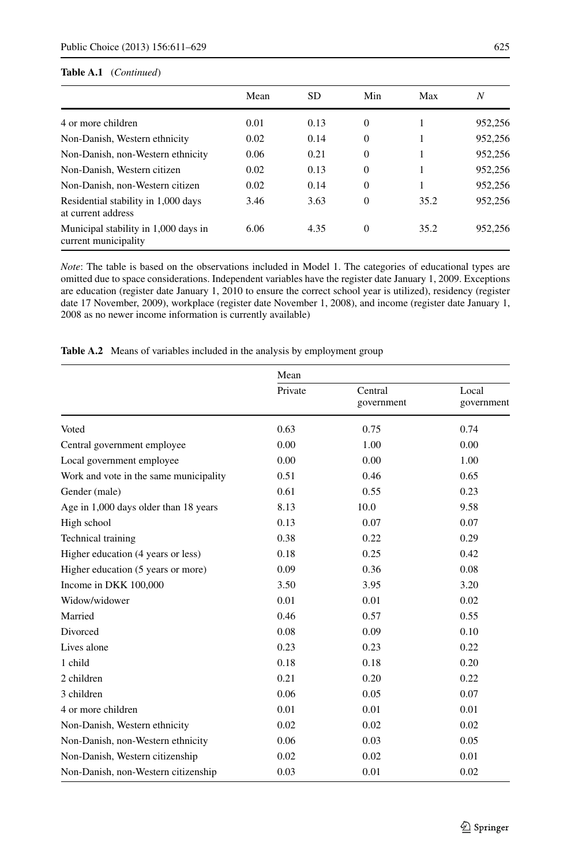## **Table A.1** (*Continued*)

|                                                              | Mean | <b>SD</b> | Min            | Max  | N       |
|--------------------------------------------------------------|------|-----------|----------------|------|---------|
| 4 or more children                                           | 0.01 | 0.13      | $\mathbf{0}$   |      | 952,256 |
| Non-Danish, Western ethnicity                                | 0.02 | 0.14      | $\mathbf{0}$   |      | 952,256 |
| Non-Danish, non-Western ethnicity                            | 0.06 | 0.21      | $\theta$       |      | 952,256 |
| Non-Danish, Western citizen                                  | 0.02 | 0.13      | $\overline{0}$ | 1    | 952,256 |
| Non-Danish, non-Western citizen                              | 0.02 | 0.14      | $\theta$       | 1    | 952,256 |
| Residential stability in 1,000 days<br>at current address    | 3.46 | 3.63      | $\overline{0}$ | 35.2 | 952,256 |
| Municipal stability in 1,000 days in<br>current municipality | 6.06 | 4.35      | $\Omega$       | 35.2 | 952,256 |

<span id="page-14-0"></span>*Note*: The table is based on the observations included in Model 1. The categories of educational types are omitted due to space considerations. Independent variables have the register date January 1, 2009. Exceptions are education (register date January 1, 2010 to ensure the correct school year is utilized), residency (register date 17 November, 2009), workplace (register date November 1, 2008), and income (register date January 1, 2008 as no newer income information is currently available)

Table A.2 Means of variables included in the analysis by employment group

|                                        | Mean    |                       |                     |
|----------------------------------------|---------|-----------------------|---------------------|
|                                        | Private | Central<br>government | Local<br>government |
| Voted                                  | 0.63    | 0.75                  | 0.74                |
| Central government employee            | 0.00    | 1.00                  | 0.00                |
| Local government employee              | 0.00    | 0.00                  | 1.00                |
| Work and vote in the same municipality | 0.51    | 0.46                  | 0.65                |
| Gender (male)                          | 0.61    | 0.55                  | 0.23                |
| Age in 1,000 days older than 18 years  | 8.13    | 10.0                  | 9.58                |
| High school                            | 0.13    | 0.07                  | 0.07                |
| Technical training                     | 0.38    | 0.22                  | 0.29                |
| Higher education (4 years or less)     | 0.18    | 0.25                  | 0.42                |
| Higher education (5 years or more)     | 0.09    | 0.36                  | 0.08                |
| Income in DKK 100,000                  | 3.50    | 3.95                  | 3.20                |
| Widow/widower                          | 0.01    | 0.01                  | 0.02                |
| Married                                | 0.46    | 0.57                  | 0.55                |
| Divorced                               | 0.08    | 0.09                  | 0.10                |
| Lives alone                            | 0.23    | 0.23                  | 0.22                |
| 1 child                                | 0.18    | 0.18                  | 0.20                |
| 2 children                             | 0.21    | 0.20                  | 0.22                |
| 3 children                             | 0.06    | 0.05                  | 0.07                |
| 4 or more children                     | 0.01    | 0.01                  | 0.01                |
| Non-Danish, Western ethnicity          | 0.02    | 0.02                  | 0.02                |
| Non-Danish, non-Western ethnicity      | 0.06    | 0.03                  | 0.05                |
| Non-Danish, Western citizenship        | 0.02    | 0.02                  | 0.01                |
| Non-Danish, non-Western citizenship    | 0.03    | 0.01                  | 0.02                |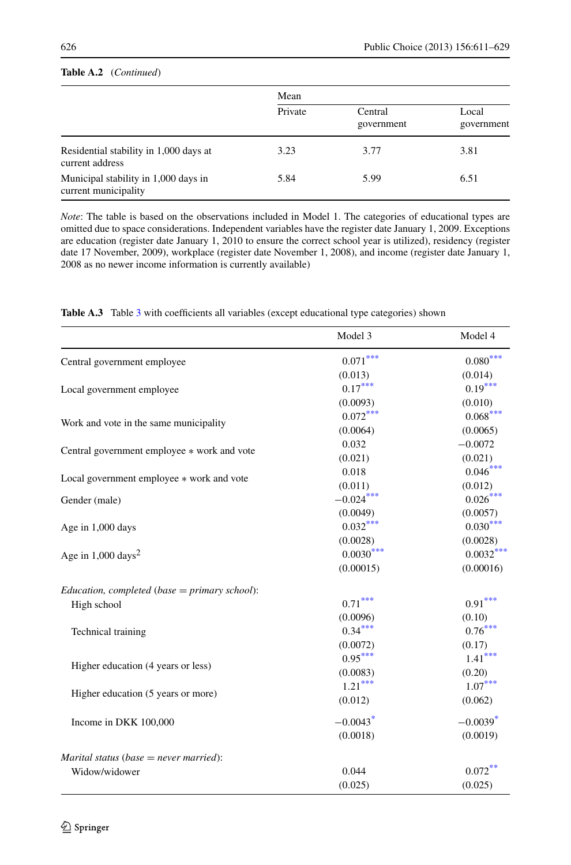|                                                              | Mean    |                       |                     |  |
|--------------------------------------------------------------|---------|-----------------------|---------------------|--|
|                                                              | Private | Central<br>government | Local<br>government |  |
| Residential stability in 1,000 days at<br>current address    | 3.23    | 3.77                  | 3.81                |  |
| Municipal stability in 1,000 days in<br>current municipality | 5.84    | 5.99                  | 6.51                |  |

#### **Table A.2** (*Continued*)

<span id="page-15-0"></span>*Note*: The table is based on the observations included in Model 1. The categories of educational types are omitted due to space considerations. Independent variables have the register date January 1, 2009. Exceptions are education (register date January 1, 2010 to ensure the correct school year is utilized), residency (register date 17 November, 2009), workplace (register date November 1, 2008), and income (register date January 1, 2008 as no newer income information is currently available)

|                                                 | Model 3     | Model 4     |
|-------------------------------------------------|-------------|-------------|
| Central government employee                     | $0.071***$  | $0.080***$  |
|                                                 | (0.013)     | (0.014)     |
| Local government employee                       | $0.17***$   | $0.19***$   |
|                                                 | (0.0093)    | (0.010)     |
|                                                 | $0.072***$  | $0.068***$  |
| Work and vote in the same municipality          | (0.0064)    | (0.0065)    |
|                                                 | 0.032       | $-0.0072$   |
| Central government employee * work and vote     | (0.021)     | (0.021)     |
|                                                 | 0.018       | $0.046***$  |
| Local government employee * work and vote       | (0.011)     | (0.012)     |
| Gender (male)                                   | $-0.024***$ | $0.026***$  |
|                                                 | (0.0049)    | (0.0057)    |
| Age in 1,000 days                               | $0.032***$  | $0.030***$  |
|                                                 | (0.0028)    | (0.0028)    |
| Age in $1,000 \text{ days}^2$                   | $0.0030***$ | $0.0032***$ |
|                                                 | (0.00015)   | (0.00016)   |
| Education, completed (base $=$ primary school): |             |             |
| High school                                     | $0.71***$   | $0.91***$   |
|                                                 | (0.0096)    | (0.10)      |
| Technical training                              | $0.34***$   | $0.76***$   |
|                                                 | (0.0072)    | (0.17)      |
|                                                 | $0.95***$   | $1.41***$   |
| Higher education (4 years or less)              | (0.0083)    | (0.20)      |
|                                                 | $1.21***$   | $1.07***$   |
| Higher education (5 years or more)              | (0.012)     | (0.062)     |
| Income in DKK 100,000                           | $-0.0043*$  | $-0.0039*$  |
|                                                 | (0.0018)    | (0.0019)    |
| Marital status (base $=$ never married):        |             |             |
| Widow/widower                                   | 0.044       | $0.072***$  |
|                                                 | (0.025)     | (0.025)     |

**Table A.3** Table [3](#page-11-0) with coefficients all variables (except educational type categories) shown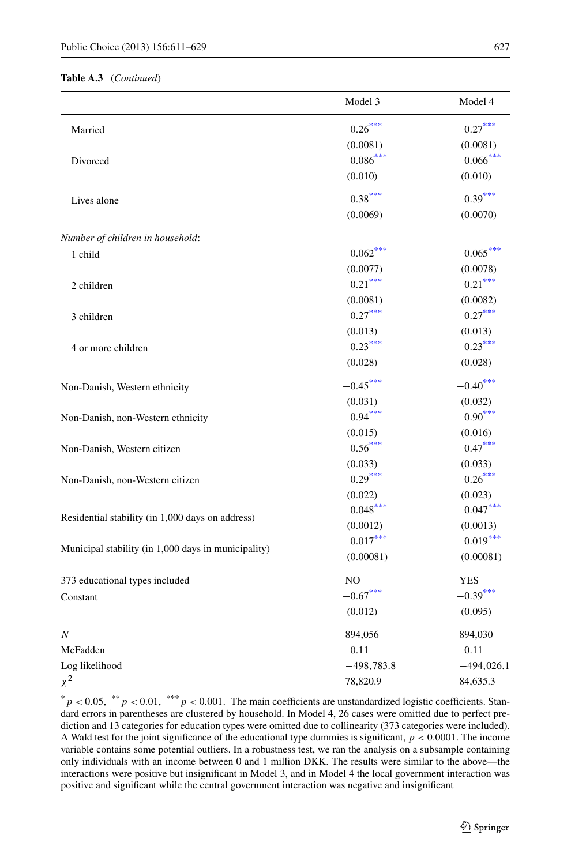#### **Table A.3** (*Continued*)

|                                                     | Model 3      | Model 4      |
|-----------------------------------------------------|--------------|--------------|
| Married                                             | $0.26***$    | $0.27***$    |
|                                                     | (0.0081)     | (0.0081)     |
| Divorced                                            | $-0.086$ *** | $-0.066$ *** |
|                                                     | (0.010)      | (0.010)      |
| Lives alone                                         | $-0.38***$   | $-0.39***$   |
|                                                     | (0.0069)     | (0.0070)     |
| Number of children in household:                    |              |              |
| 1 child                                             | $0.062***$   | $0.065***$   |
|                                                     | (0.0077)     | (0.0078)     |
| 2 children                                          | $0.21***$    | $0.21***$    |
|                                                     | (0.0081)     | (0.0082)     |
| 3 children                                          | $0.27***$    | $0.27***$    |
|                                                     | (0.013)      | (0.013)      |
| 4 or more children                                  | $0.23***$    | $0.23***$    |
|                                                     | (0.028)      | (0.028)      |
| Non-Danish, Western ethnicity                       | $-0.45***$   | $-0.40$ ***  |
|                                                     | (0.031)      | (0.032)      |
| Non-Danish, non-Western ethnicity                   | $-0.94***$   | $-0.90***$   |
|                                                     | (0.015)      | (0.016)      |
| Non-Danish, Western citizen                         | $-0.56$ ***  | $-0.47***$   |
|                                                     | (0.033)      | (0.033)      |
| Non-Danish, non-Western citizen                     | $-0.29***$   | $-0.26***$   |
|                                                     | (0.022)      | (0.023)      |
| Residential stability (in 1,000 days on address)    | $0.048***$   | $0.047***$   |
|                                                     | (0.0012)     | (0.0013)     |
| Municipal stability (in 1,000 days in municipality) | $0.017***$   | $0.019***$   |
|                                                     | (0.00081)    | (0.00081)    |
| 373 educational types included                      | NO           | <b>YES</b>   |
| Constant                                            | $-0.67***$   | $-0.39***$   |
|                                                     | (0.012)      | (0.095)      |
| N                                                   | 894,056      | 894,030      |
| McFadden                                            | 0.11         | 0.11         |
| Log likelihood                                      | $-498,783.8$ | $-494,026.1$ |
| $\chi^2$                                            | 78,820.9     | 84,635.3     |

<span id="page-16-2"></span><span id="page-16-1"></span><span id="page-16-0"></span> $*p < 0.05$ ,  $* p < 0.01$ ,  $** p < 0.001$ . The main coefficients are unstandardized logistic coefficients. Standard errors in parentheses are clustered by household. In Model 4, 26 cases were omitted due to perfect prediction and 13 categories for education types were omitted due to collinearity (373 categories were included). A Wald test for the joint significance of the educational type dummies is significant, *p <* 0*.*0001. The income variable contains some potential outliers. In a robustness test, we ran the analysis on a subsample containing only individuals with an income between 0 and 1 million DKK. The results were similar to the above—the interactions were positive but insignificant in Model 3, and in Model 4 the local government interaction was positive and significant while the central government interaction was negative and insignificant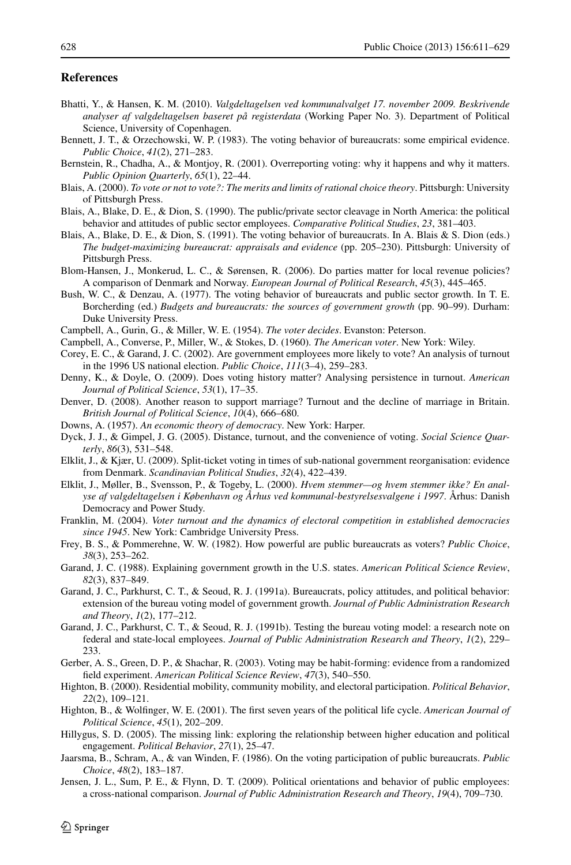### <span id="page-17-27"></span><span id="page-17-14"></span><span id="page-17-11"></span><span id="page-17-3"></span>**References**

- <span id="page-17-15"></span><span id="page-17-8"></span>Bhatti, Y., & Hansen, K. M. (2010). *Valgdeltagelsen ved kommunalvalget 17. november 2009. Beskrivende analyser af valgdeltagelsen baseret på registerdata* (Working Paper No. 3). Department of Political Science, University of Copenhagen.
- <span id="page-17-12"></span>Bennett, J. T., & Orzechowski, W. P. (1983). The voting behavior of bureaucrats: some empirical evidence. *Public Choice*, *41*(2), 271–283.
- <span id="page-17-7"></span>Bernstein, R., Chadha, A., & Montjoy, R. (2001). Overreporting voting: why it happens and why it matters. *Public Opinion Quarterly*, *65*(1), 22–44.
- Blais, A. (2000). *To vote or not to vote?: The merits and limits of rational choice theory*. Pittsburgh: University of Pittsburgh Press.
- <span id="page-17-21"></span><span id="page-17-17"></span>Blais, A., Blake, D. E., & Dion, S. (1990). The public/private sector cleavage in North America: the political behavior and attitudes of public sector employees. *Comparative Political Studies*, *23*, 381–403.
- <span id="page-17-5"></span>Blais, A., Blake, D. E., & Dion, S. (1991). The voting behavior of bureaucrats. In A. Blais & S. Dion (eds.) *The budget-maximizing bureaucrat: appraisals and evidence* (pp. 205–230). Pittsburgh: University of Pittsburgh Press.
- <span id="page-17-19"></span><span id="page-17-18"></span>Blom-Hansen, J., Monkerud, L. C., & Sørensen, R. (2006). Do parties matter for local revenue policies? A comparison of Denmark and Norway. *European Journal of Political Research*, *45*(3), 445–465.
- <span id="page-17-9"></span>Bush, W. C., & Denzau, A. (1977). The voting behavior of bureaucrats and public sector growth. In T. E. Borcherding (ed.) *Budgets and bureaucrats: the sources of government growth* (pp. 90–99). Durham: Duke University Press.

<span id="page-17-26"></span>Campbell, A., Gurin, G., & Miller, W. E. (1954). *The voter decides*. Evanston: Peterson.

- <span id="page-17-13"></span>Campbell, A., Converse, P., Miller, W., & Stokes, D. (1960). *The American voter*. New York: Wiley.
- <span id="page-17-20"></span>Corey, E. C., & Garand, J. C. (2002). Are government employees more likely to vote? An analysis of turnout in the 1996 US national election. *Public Choice*, *111*(3–4), 259–283.
- Denny, K., & Doyle, O. (2009). Does voting history matter? Analysing persistence in turnout. *American Journal of Political Science*, *53*(1), 17–35.
- <span id="page-17-25"></span>Denver, D. (2008). Another reason to support marriage? Turnout and the decline of marriage in Britain. *British Journal of Political Science*, *10*(4), 666–680.
- <span id="page-17-2"></span>Downs, A. (1957). *An economic theory of democracy*. New York: Harper.
- <span id="page-17-10"></span>Dyck, J. J., & Gimpel, J. G. (2005). Distance, turnout, and the convenience of voting. *Social Science Quarterly*, *86*(3), 531–548.
- <span id="page-17-0"></span>Elklit, J., & Kjær, U. (2009). Split-ticket voting in times of sub-national government reorganisation: evidence from Denmark. *Scandinavian Political Studies*, *32*(4), 422–439.
- Elklit, J., Møller, B., Svensson, P., & Togeby, L. (2000). *Hvem stemmer—og hvem stemmer ikke? En analyse af valgdeltagelsen i København og Århus ved kommunal-bestyrelsesvalgene i 1997*. Århus: Danish Democracy and Power Study.
- <span id="page-17-1"></span>Franklin, M. (2004). *Voter turnout and the dynamics of electoral competition in established democracies since 1945*. New York: Cambridge University Press.
- <span id="page-17-24"></span>Frey, B. S., & Pommerehne, W. W. (1982). How powerful are public bureaucrats as voters? *Public Choice*, *38*(3), 253–262.
- <span id="page-17-22"></span>Garand, J. C. (1988). Explaining government growth in the U.S. states. *American Political Science Review*, *82*(3), 837–849.
- <span id="page-17-16"></span>Garand, J. C., Parkhurst, C. T., & Seoud, R. J. (1991a). Bureaucrats, policy attitudes, and political behavior: extension of the bureau voting model of government growth. *Journal of Public Administration Research and Theory*, *1*(2), 177–212.
- <span id="page-17-23"></span><span id="page-17-4"></span>Garand, J. C., Parkhurst, C. T., & Seoud, R. J. (1991b). Testing the bureau voting model: a research note on federal and state-local employees. *Journal of Public Administration Research and Theory*, *1*(2), 229– 233.
- <span id="page-17-6"></span>Gerber, A. S., Green, D. P., & Shachar, R. (2003). Voting may be habit-forming: evidence from a randomized field experiment. *American Political Science Review*, *47*(3), 540–550.
- Highton, B. (2000). Residential mobility, community mobility, and electoral participation. *Political Behavior*, *22*(2), 109–121.
- Highton, B., & Wolfinger, W. E. (2001). The first seven years of the political life cycle. *American Journal of Political Science*, *45*(1), 202–209.
- Hillygus, S. D. (2005). The missing link: exploring the relationship between higher education and political engagement. *Political Behavior*, *27*(1), 25–47.
- Jaarsma, B., Schram, A., & van Winden, F. (1986). On the voting participation of public bureaucrats. *Public Choice*, *48*(2), 183–187.
- Jensen, J. L., Sum, P. E., & Flynn, D. T. (2009). Political orientations and behavior of public employees: a cross-national comparison. *Journal of Public Administration Research and Theory*, *19*(4), 709–730.